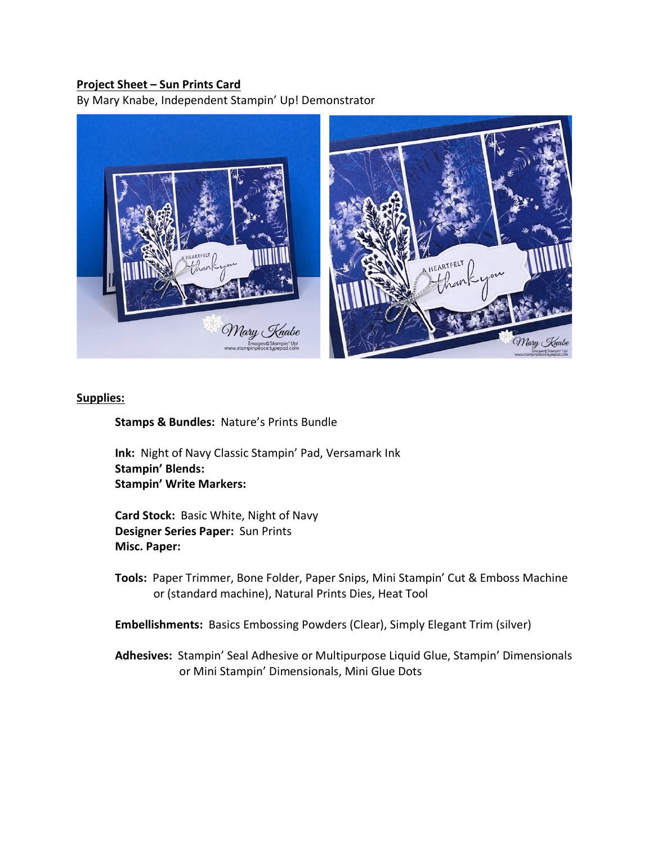## **Project Sheet – Sun Prints Card**

By Mary Knabe, Independent Stampin' Up! Demonstrator



## **Supplies:**

**Stamps & Bundles:** Nature's Prints Bundle

**Ink:** Night of Navy Classic Stampin' Pad, Versamark Ink **Stampin' Blends: Stampin' Write Markers:** 

**Card Stock:** Basic White, Night of Navy **Designer Series Paper:** Sun Prints **Misc. Paper:** 

- **Tools:** Paper Trimmer, Bone Folder, Paper Snips, Mini Stampin' Cut & Emboss Machine or (standard machine), Natural Prints Dies, Heat Tool
- **Embellishments:** Basics Embossing Powders (Clear), Simply Elegant Trim (silver)

**Adhesives:** Stampin' Seal Adhesive or Multipurpose Liquid Glue, Stampin' Dimensionals or Mini Stampin' Dimensionals, Mini Glue Dots